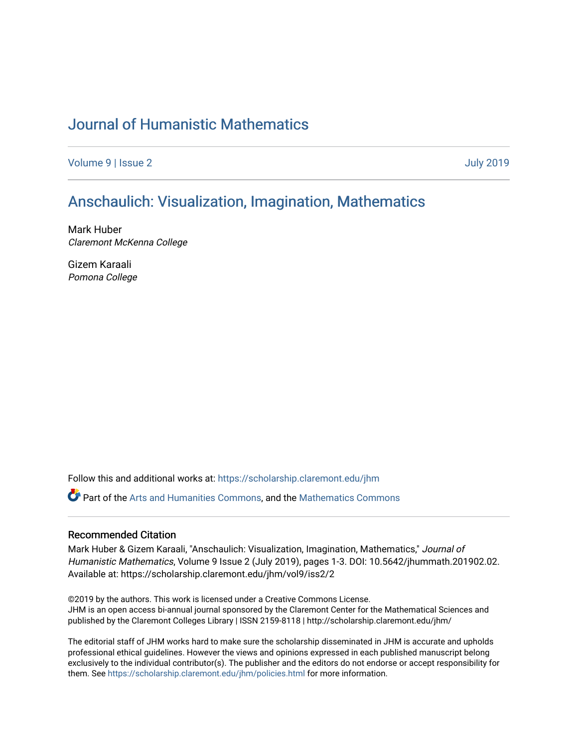## [Journal of Humanistic Mathematics](https://scholarship.claremont.edu/jhm)

[Volume 9](https://scholarship.claremont.edu/jhm/vol9) | [Issue 2](https://scholarship.claremont.edu/jhm/vol9/iss2) [July 2019](https://scholarship.claremont.edu/jhm/vol9/iss2) 

## [Anschaulich: Visualization, Imagination, Mathematics](https://scholarship.claremont.edu/jhm/vol9/iss2/2)

Mark Huber Claremont McKenna College

Gizem Karaali Pomona College

Follow this and additional works at: [https://scholarship.claremont.edu/jhm](https://scholarship.claremont.edu/jhm?utm_source=scholarship.claremont.edu%2Fjhm%2Fvol9%2Fiss2%2F2&utm_medium=PDF&utm_campaign=PDFCoverPages)

Part of the [Arts and Humanities Commons,](http://network.bepress.com/hgg/discipline/438?utm_source=scholarship.claremont.edu%2Fjhm%2Fvol9%2Fiss2%2F2&utm_medium=PDF&utm_campaign=PDFCoverPages) and the [Mathematics Commons](http://network.bepress.com/hgg/discipline/174?utm_source=scholarship.claremont.edu%2Fjhm%2Fvol9%2Fiss2%2F2&utm_medium=PDF&utm_campaign=PDFCoverPages) 

## Recommended Citation

Mark Huber & Gizem Karaali, "Anschaulich: Visualization, Imagination, Mathematics," Journal of Humanistic Mathematics, Volume 9 Issue 2 (July 2019), pages 1-3. DOI: 10.5642/jhummath.201902.02. Available at: https://scholarship.claremont.edu/jhm/vol9/iss2/2

©2019 by the authors. This work is licensed under a Creative Commons License. JHM is an open access bi-annual journal sponsored by the Claremont Center for the Mathematical Sciences and published by the Claremont Colleges Library | ISSN 2159-8118 | http://scholarship.claremont.edu/jhm/

The editorial staff of JHM works hard to make sure the scholarship disseminated in JHM is accurate and upholds professional ethical guidelines. However the views and opinions expressed in each published manuscript belong exclusively to the individual contributor(s). The publisher and the editors do not endorse or accept responsibility for them. See<https://scholarship.claremont.edu/jhm/policies.html> for more information.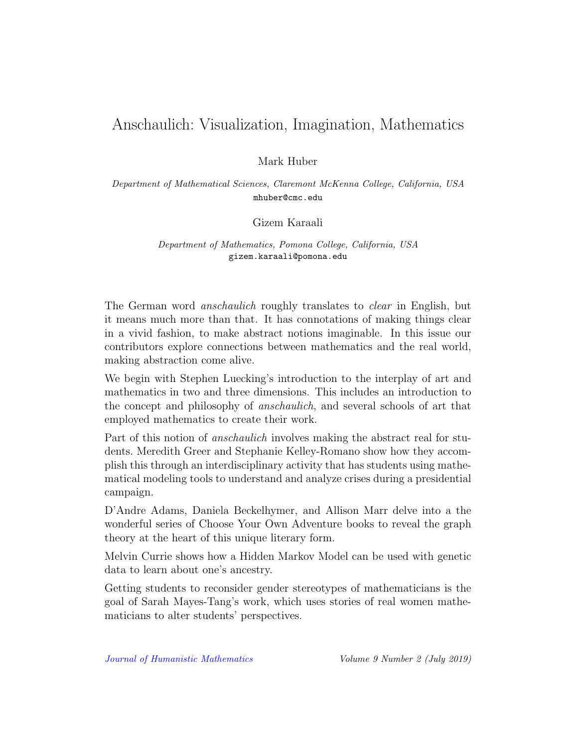## Anschaulich: Visualization, Imagination, Mathematics

Mark Huber

Department of Mathematical Sciences, Claremont McKenna College, California, USA mhuber@cmc.edu

Gizem Karaali

Department of Mathematics, Pomona College, California, USA gizem.karaali@pomona.edu

The German word anschaulich roughly translates to clear in English, but it means much more than that. It has connotations of making things clear in a vivid fashion, to make abstract notions imaginable. In this issue our contributors explore connections between mathematics and the real world, making abstraction come alive.

We begin with Stephen Luecking's introduction to the interplay of art and mathematics in two and three dimensions. This includes an introduction to the concept and philosophy of anschaulich, and several schools of art that employed mathematics to create their work.

Part of this notion of anschaulich involves making the abstract real for students. Meredith Greer and Stephanie Kelley-Romano show how they accomplish this through an interdisciplinary activity that has students using mathematical modeling tools to understand and analyze crises during a presidential campaign.

D'Andre Adams, Daniela Beckelhymer, and Allison Marr delve into a the wonderful series of Choose Your Own Adventure books to reveal the graph theory at the heart of this unique literary form.

Melvin Currie shows how a Hidden Markov Model can be used with genetic data to learn about one's ancestry.

Getting students to reconsider gender stereotypes of mathematicians is the goal of Sarah Mayes-Tang's work, which uses stories of real women mathematicians to alter students' perspectives.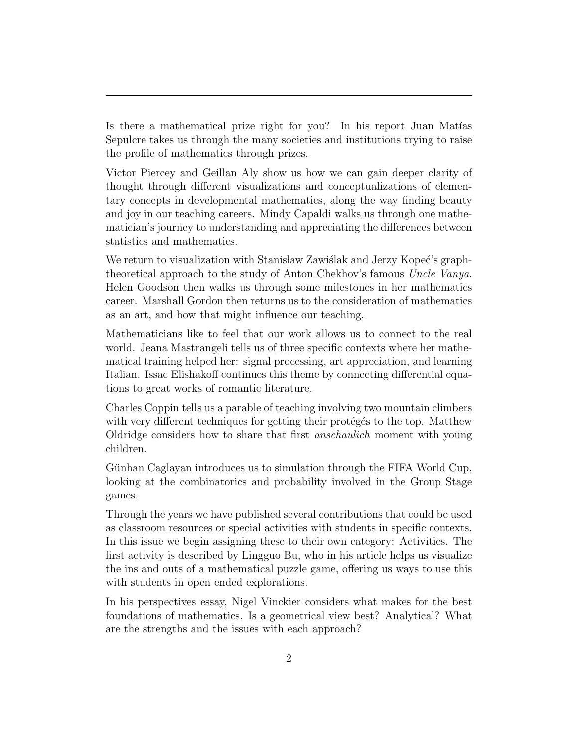Is there a mathematical prize right for you? In his report Juan Matías Sepulcre takes us through the many societies and institutions trying to raise the profile of mathematics through prizes.

Victor Piercey and Geillan Aly show us how we can gain deeper clarity of thought through different visualizations and conceptualizations of elementary concepts in developmental mathematics, along the way finding beauty and joy in our teaching careers. Mindy Capaldi walks us through one mathematician's journey to understanding and appreciating the differences between statistics and mathematics.

We return to visualization with Stanisław Zawiślak and Jerzy Kopeć's graphtheoretical approach to the study of Anton Chekhov's famous Uncle Vanya. Helen Goodson then walks us through some milestones in her mathematics career. Marshall Gordon then returns us to the consideration of mathematics as an art, and how that might influence our teaching.

Mathematicians like to feel that our work allows us to connect to the real world. Jeana Mastrangeli tells us of three specific contexts where her mathematical training helped her: signal processing, art appreciation, and learning Italian. Issac Elishakoff continues this theme by connecting differential equations to great works of romantic literature.

Charles Coppin tells us a parable of teaching involving two mountain climbers with very different techniques for getting their proteges to the top. Matthew Oldridge considers how to share that first anschaulich moment with young children.

Günhan Caglayan introduces us to simulation through the FIFA World Cup, looking at the combinatorics and probability involved in the Group Stage games.

Through the years we have published several contributions that could be used as classroom resources or special activities with students in specific contexts. In this issue we begin assigning these to their own category: Activities. The first activity is described by Lingguo Bu, who in his article helps us visualize the ins and outs of a mathematical puzzle game, offering us ways to use this with students in open ended explorations.

In his perspectives essay, Nigel Vinckier considers what makes for the best foundations of mathematics. Is a geometrical view best? Analytical? What are the strengths and the issues with each approach?